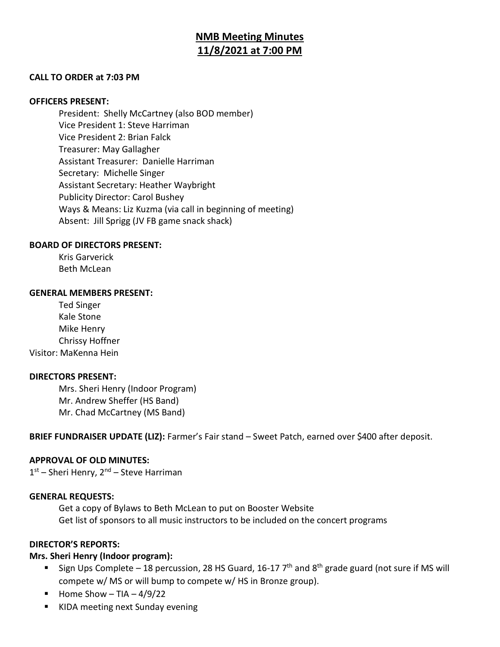# **NMB Meeting Minutes 11/8/2021 at 7:00 PM**

#### **CALL TO ORDER at 7:03 PM**

#### **OFFICERS PRESENT:**

President: Shelly McCartney (also BOD member) Vice President 1: Steve Harriman Vice President 2: Brian Falck Treasurer: May Gallagher Assistant Treasurer: Danielle Harriman Secretary: Michelle Singer Assistant Secretary: Heather Waybright Publicity Director: Carol Bushey Ways & Means: Liz Kuzma (via call in beginning of meeting) Absent: Jill Sprigg (JV FB game snack shack)

#### **BOARD OF DIRECTORS PRESENT:**

Kris Garverick Beth McLean

#### **GENERAL MEMBERS PRESENT:**

Ted Singer Kale Stone Mike Henry Chrissy Hoffner Visitor: MaKenna Hein

### **DIRECTORS PRESENT:**

Mrs. Sheri Henry (Indoor Program) Mr. Andrew Sheffer (HS Band) Mr. Chad McCartney (MS Band)

**BRIEF FUNDRAISER UPDATE (LIZ):** Farmer's Fair stand – Sweet Patch, earned over \$400 after deposit.

#### **APPROVAL OF OLD MINUTES:**

1st – Sheri Henry, 2<sup>nd</sup> – Steve Harriman

#### **GENERAL REQUESTS:**

Get a copy of Bylaws to Beth McLean to put on Booster Website Get list of sponsors to all music instructors to be included on the concert programs

#### **DIRECTOR'S REPORTS:**

### **Mrs. Sheri Henry (Indoor program):**

- Sign Ups Complete 18 percussion, 28 HS Guard, 16-17  $7<sup>th</sup>$  and 8<sup>th</sup> grade guard (not sure if MS will compete w/ MS or will bump to compete w/ HS in Bronze group).
- $\blacksquare$  Home Show TIA 4/9/22
- KIDA meeting next Sunday evening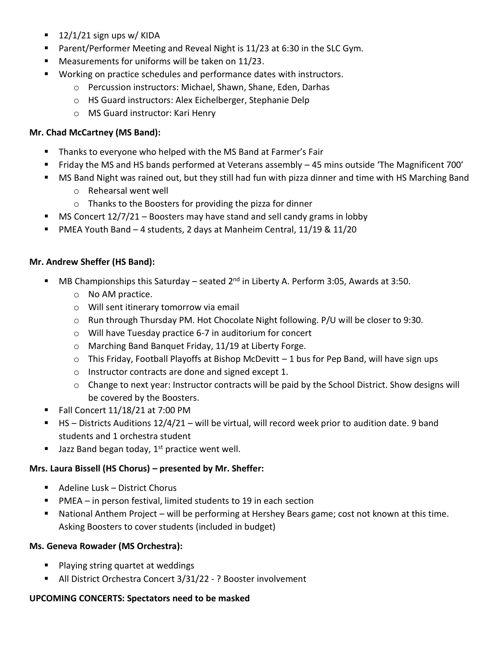- $\blacksquare$  12/1/21 sign ups w/ KIDA
- Parent/Performer Meeting and Reveal Night is 11/23 at 6:30 in the SLC Gym.
- Measurements for uniforms will be taken on 11/23.
- Working on practice schedules and performance dates with instructors.
	- o Percussion instructors: Michael, Shawn, Shane, Eden, Darhas
	- o HS Guard instructors: Alex Eichelberger, Stephanie Delp
	- o MS Guard instructor: Kari Henry

# **Mr. Chad McCartney (MS Band):**

- Thanks to everyone who helped with the MS Band at Farmer's Fair
- Friday the MS and HS bands performed at Veterans assembly 45 mins outside 'The Magnificent 700'
- MS Band Night was rained out, but they still had fun with pizza dinner and time with HS Marching Band
	- o Rehearsal went well
	- o Thanks to the Boosters for providing the pizza for dinner
- **■** MS Concert  $12/7/21 -$  Boosters may have stand and sell candy grams in lobby
- PMEA Youth Band 4 students, 2 days at Manheim Central, 11/19 & 11/20

### **Mr. Andrew Sheffer (HS Band):**

- **■** MB Championships this Saturday seated  $2^{nd}$  in Liberty A. Perform 3:05, Awards at 3:50.
	- o No AM practice.
	- o Will sent itinerary tomorrow via email
	- o Run through Thursday PM. Hot Chocolate Night following. P/U will be closer to 9:30.
	- o Will have Tuesday practice 6-7 in auditorium for concert
	- o Marching Band Banquet Friday, 11/19 at Liberty Forge.
	- o This Friday, Football Playoffs at Bishop McDevitt 1 bus for Pep Band, will have sign ups
	- o Instructor contracts are done and signed except 1.
	- o Change to next year: Instructor contracts will be paid by the School District. Show designs will be covered by the Boosters.
- Fall Concert 11/18/21 at 7:00 PM
- HS Districts Auditions 12/4/21 will be virtual, will record week prior to audition date. 9 band students and 1 orchestra student
- **■** Jazz Band began today,  $1^{st}$  practice went well.

# **Mrs. Laura Bissell (HS Chorus) – presented by Mr. Sheffer:**

- Adeline Lusk District Chorus
- $\blacksquare$  PMEA in person festival, limited students to 19 in each section
- National Anthem Project will be performing at Hershey Bears game; cost not known at this time. Asking Boosters to cover students (included in budget)

# **Ms. Geneva Rowader (MS Orchestra):**

- Playing string quartet at weddings
- All District Orchestra Concert 3/31/22 ? Booster involvement

### **UPCOMING CONCERTS: Spectators need to be masked**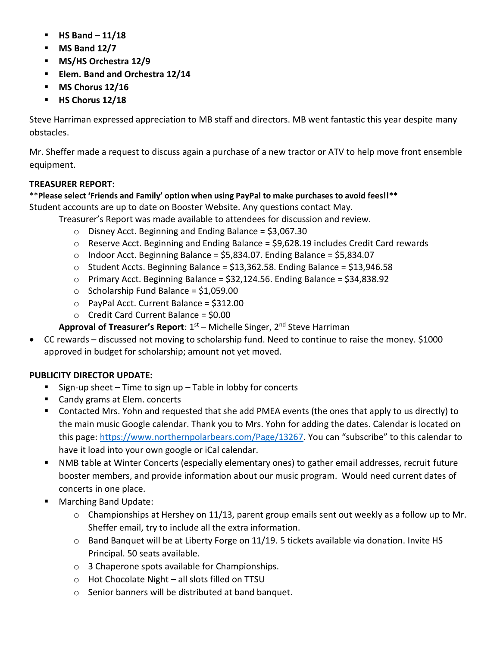- **HS Band – 11/18**
- **MS Band 12/7**
- **MS/HS Orchestra 12/9**
- **Elem. Band and Orchestra 12/14**
- **MS Chorus 12/16**
- **HS Chorus 12/18**

Steve Harriman expressed appreciation to MB staff and directors. MB went fantastic this year despite many obstacles.

Mr. Sheffer made a request to discuss again a purchase of a new tractor or ATV to help move front ensemble equipment.

# **TREASURER REPORT:**

# \*\***Please select 'Friends and Family' option when using PayPal to make purchases to avoid fees!!\*\***

Student accounts are up to date on Booster Website. Any questions contact May.

Treasurer's Report was made available to attendees for discussion and review.

- o Disney Acct. Beginning and Ending Balance = \$3,067.30
- o Reserve Acct. Beginning and Ending Balance = \$9,628.19 includes Credit Card rewards
- $\circ$  Indoor Acct. Beginning Balance = \$5,834.07. Ending Balance = \$5,834.07
- $\circ$  Student Accts. Beginning Balance = \$13,362.58. Ending Balance = \$13,946.58
- $\circ$  Primary Acct. Beginning Balance = \$32,124.56. Ending Balance = \$34,838.92
- o Scholarship Fund Balance = \$1,059.00
- $\circ$  PayPal Acct. Current Balance = \$312.00
- $\circ$  Credit Card Current Balance = \$0.00

Approval of Treasurer's Report: 1<sup>st</sup> – Michelle Singer, 2<sup>nd</sup> Steve Harriman

• CC rewards – discussed not moving to scholarship fund. Need to continue to raise the money. \$1000 approved in budget for scholarship; amount not yet moved.

# **PUBLICITY DIRECTOR UPDATE:**

- Sign-up sheet Time to sign up Table in lobby for concerts
- Candy grams at Elem. concerts
- Contacted Mrs. Yohn and requested that she add PMEA events (the ones that apply to us directly) to the main music Google calendar. Thank you to Mrs. Yohn for adding the dates. Calendar is located on this page:<https://www.northernpolarbears.com/Page/13267>. You can "subscribe" to this calendar to have it load into your own google or iCal calendar.
- NMB table at Winter Concerts (especially elementary ones) to gather email addresses, recruit future booster members, and provide information about our music program. Would need current dates of concerts in one place.
- Marching Band Update:
	- o Championships at Hershey on 11/13, parent group emails sent out weekly as a follow up to Mr. Sheffer email, try to include all the extra information.
	- $\circ$  Band Banquet will be at Liberty Forge on 11/19. 5 tickets available via donation. Invite HS Principal. 50 seats available.
	- o 3 Chaperone spots available for Championships.
	- o Hot Chocolate Night all slots filled on TTSU
	- o Senior banners will be distributed at band banquet.